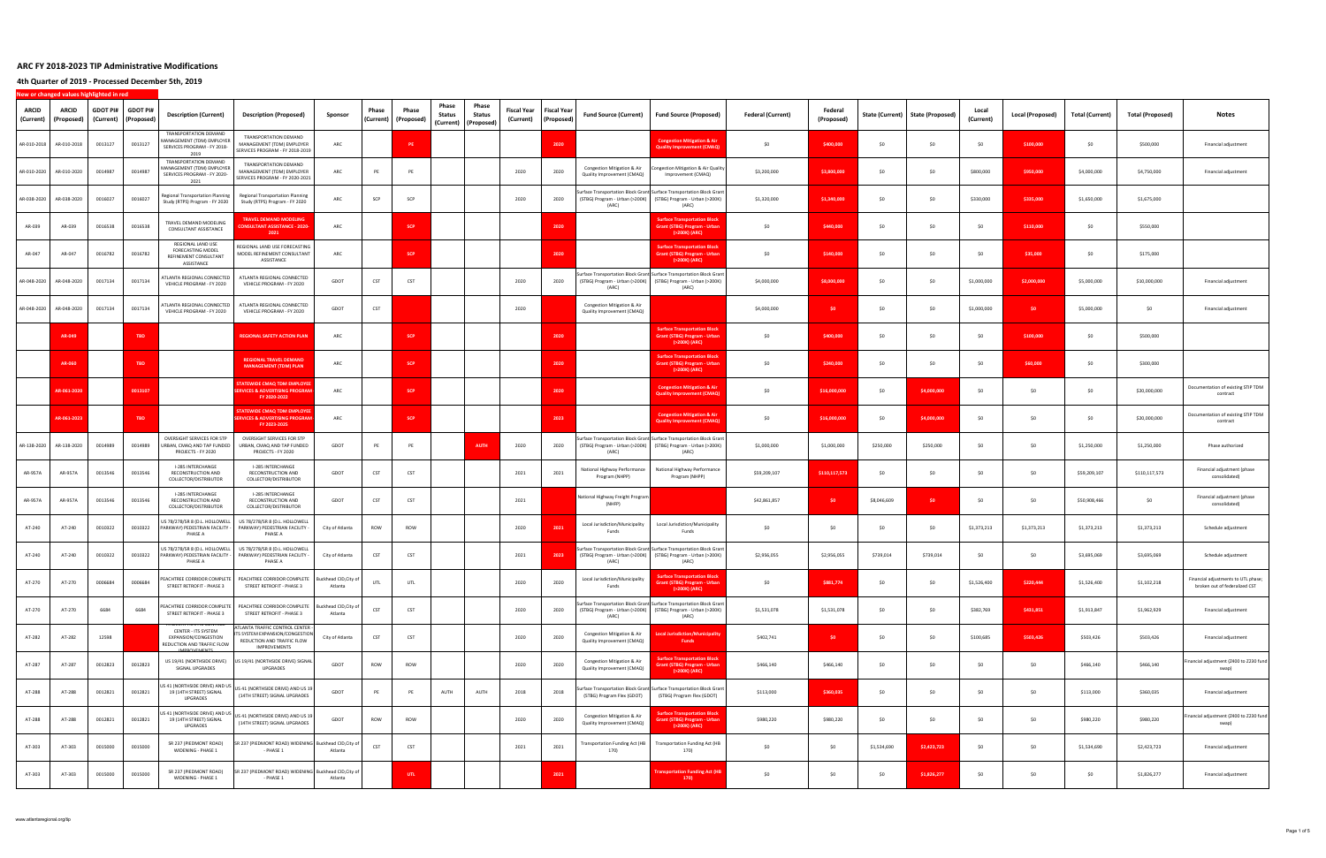**4th Quarter of 2019 ‐ Processed December 5th, 2019**

| <b>ARCID</b><br>(Current) | <b>ARCID</b><br>(Proposed) | <b>GDOT PI#</b><br>(Current) | <b>GDOT PI#</b><br>(Proposed | <b>Description (Current)</b>                                                                                                | <b>Description (Proposed)</b>                                                                                   | Sponsor                          | Phase<br>(Current) | Phase<br>(Proposed) | Phase<br>Status<br>(Current) | Phase<br>Status<br>(Proposed) | Fiscal Year<br>(Current) | Fiscal Year<br>(Proposed) | <b>Fund Source (Current)</b>                                           | <b>Fund Source (Proposed)</b>                                                                                                                   | <b>Federal (Current)</b> | Federal<br>(Proposed) | State (Current) | State (Proposed) | Local<br>(Current) | Local (Proposed) | Total (Current) | <b>Total (Proposed)</b> | Notes                                                                |
|---------------------------|----------------------------|------------------------------|------------------------------|-----------------------------------------------------------------------------------------------------------------------------|-----------------------------------------------------------------------------------------------------------------|----------------------------------|--------------------|---------------------|------------------------------|-------------------------------|--------------------------|---------------------------|------------------------------------------------------------------------|-------------------------------------------------------------------------------------------------------------------------------------------------|--------------------------|-----------------------|-----------------|------------------|--------------------|------------------|-----------------|-------------------------|----------------------------------------------------------------------|
| AR-010-2018               | AR-010-2018                | 0013127                      | 0013127                      | TRANSPORTATION DEMAND<br>MANAGEMENT (TDM) EMPLOYER<br>SERVICES PROGRAM - FY 2018-<br>2019                                   | TRANSPORTATION DEMAND<br><b>MANAGEMENT (TDM) EMPLOYER</b><br>SERVICES PROGRAM - FY 2018-2019                    | ARC                              |                    | PE                  |                              |                               |                          | 2020                      |                                                                        | <b>Congestion Mitigation &amp; Air</b><br><b>Quality Improvement (CMAQ)</b>                                                                     | \$0                      | \$400,000             | \$0             | \$0              | -SO                | \$100,000        | \$0             | \$500,000               | Financial adjustment                                                 |
| AR-010-2020               | AR-010-2020                | 0014987                      | 0014987                      | TRANSPORTATION DEMAND<br>MANAGEMENT (TDM) EMPLOYER<br>SERVICES PROGRAM - FY 2020-<br>2021                                   | TRANSPORTATION DEMAND<br>MANAGEMENT (TDM) EMPLOYER<br>SERVICES PROGRAM - FY 2020-2021                           | ARC                              | PE                 | PE                  |                              |                               | 2020                     | 2020                      | Congestion Mitigation & Air<br>Quality Improvement (CMAQ)              | ngestion Mitigation & Air Quality<br>Improvement (CMAQ)                                                                                         | \$3,200,000              | \$3,800,000           | \$0             | \$0              | \$800,000          | \$950,000        | \$4,000,000     | \$4,750,000             | Financial adjustment                                                 |
| AR-038-2020               | AR-038-2020                | 0016027                      | 0016027                      | Regional Transportation Planning<br>Study (RTPS) Program - FY 2020                                                          | <b>Regional Transportation Planning</b><br>Study (RTPS) Program - FY 2020                                       | ARC                              | SCP                | SCP                 |                              |                               | 2020                     | 2020                      | (ARC)                                                                  | Surface Transportation Block Grant Surface Transportation Block Grant<br>(STBG) Program - Urban (>200K) (STBG) Program - Urban (>200K)<br>(ARC) | \$1,320,000              | \$1,340,000           | S <sub>0</sub>  | S <sub>0</sub>   | \$330,000          | \$335,000        | \$1,650,000     | \$1,675,000             |                                                                      |
| AR-039                    | AR-039                     | 0016538                      | 0016538                      | TRAVEL DEMAND MODELING<br>CONSULTANT ASSISTANCE                                                                             | <b>TRAVEL DEMAND MODELING</b><br><b>ONSULTANT ASSISTANCE - 2020</b><br>2021                                     | ARC                              |                    | <b>SCP</b>          |                              |                               |                          | 2020                      |                                                                        | <b>Surface Transportation Block</b><br>Grant (STBG) Program - Urbar<br>(>200K) (ARC)                                                            | \$0                      | \$440,000             | \$0             | \$0              | SO                 | \$110,000        | \$0             | \$550,000               |                                                                      |
| AR-047                    | AR-047                     | 0016782                      | 0016782                      | REGIONAL LAND USE<br>FORECASTING MODEL<br>REFINEMENT CONSULTANT<br>ASSISTANCE                                               | REGIONAL LAND USE FORECASTING<br>MODEL REFINEMENT CONSULTANT<br>ASSISTANCE                                      | ARC                              |                    | <b>SCP</b>          |                              |                               |                          | 2020                      |                                                                        | urface Transportation Block<br>rant (STBG) Program - Urban<br>(>200K) (ARC)                                                                     | \$0                      | \$140,000             | \$0             | \$0              | - SO               | \$35,000         | \$0             | \$175,000               |                                                                      |
| AR-048-2020               | AR-048-2020                | 0017134                      | 0017134                      | ATLANTA REGIONAL CONNECTED<br>VEHICLE PROGRAM - FY 2020                                                                     | ATLANTA REGIONAL CONNECTED<br>VEHICLE PROGRAM - FY 2020                                                         | GDOT                             | CST                | CST                 |                              |                               | 2020                     | 2020                      | (ARC)                                                                  | Surface Transportation Block Grant Surface Transportation Block Grant<br>(STBG) Program - Urban (>200K) (STBG) Program - Urban (>200K)<br>(ARC) | \$4,000,000              | \$8,000,000           | \$0             | \$0              | \$1,000,000        | \$2,000,000      | \$5,000,000     | \$10,000,000            | Financial adjustment                                                 |
| AR-048-2020               | AR-048-2020                | 0017134                      | 0017134                      | ATLANTA REGIONAL CONNECTED<br>VEHICLE PROGRAM - FY 2020                                                                     | ATLANTA REGIONAL CONNECTED<br>VEHICLE PROGRAM - FY 2020                                                         | GDOT                             | CST                |                     |                              |                               | 2020                     |                           | Congestion Mitigation & Air<br>Quality Improvement (CMAQ)              |                                                                                                                                                 | \$4,000,000              | \$0                   | \$0             | \$0              | \$1,000,000        | \$0              | \$5,000,000     | \$0                     | Financial adjustment                                                 |
|                           | AR-049                     |                              | <b>TBD</b>                   |                                                                                                                             | <b>REGIONAL SAFETY ACTION PLAN</b>                                                                              | ARC                              |                    | <b>SCP</b>          |                              |                               |                          | 2020                      |                                                                        | <b>Surface Transportation Block</b><br>Grant (STBG) Program - Urban<br>(>200K) (ARC)                                                            | \$0                      | \$400,000             | \$0             | \$0              | \$0                | \$100,000        | \$0             | \$500,000               |                                                                      |
|                           | AR-060                     |                              | <b>TBD</b>                   |                                                                                                                             | <b>REGIONAL TRAVEL DEMAND</b><br><b>MANAGEMENT (TDM) PLAN</b>                                                   | ARC                              |                    | <b>SCP</b>          |                              |                               |                          | 2020                      |                                                                        | <b>Surface Transportation Block</b><br>Grant (STBG) Program - Urban<br>(>200K) (ARC)                                                            | \$0                      | \$240,000             | \$0             | \$0              | \$0                | \$60,000         | \$0             | \$300,000               |                                                                      |
|                           | AR-061-2020                |                              | 0013107                      |                                                                                                                             | TATEWIDE CMAQ TDM EMPLOYEI<br><b>ERVICES &amp; ADVERTISING PROGRAM</b><br>FY 2020-2022                          | ARC                              |                    | <b>SCP</b>          |                              |                               |                          | 2020                      |                                                                        | <b>Congestion Mitigation &amp; Air</b><br><b>Quality Improvement (CMAQ)</b>                                                                     | \$0                      | \$16,000,000          | \$0             | \$4,000,000      | - SO               | \$0              | \$0             | \$20,000,000            | Documentation of existing STIP TDM<br>contract                       |
|                           | AR-061-2023                |                              | <b>TBD</b>                   |                                                                                                                             | <b>STATEWIDE CMAO TDM EMPLOYE</b><br><b>ERVICES &amp; ADVERTISING PROGRAM</b><br>FY 2023-2025                   | ARC                              |                    | <b>SCP</b>          |                              |                               |                          | 2023                      |                                                                        | <b>Congestion Mitigation &amp; Air</b><br><b>Quality Improvement (CMAQ)</b>                                                                     | \$0                      | \$16,000,000          | \$0             | \$4,000,000      | \$0                | \$0              | \$0             | \$20,000,000            | Documentation of existing STIP TDM<br>contract                       |
| AR-138-2020               | AR-138-2020                | 0014989                      | 0014989                      | OVERSIGHT SERVICES FOR STP<br>URBAN, CMAQ AND TAP FUNDED<br>PROJECTS - FY 2020                                              | OVERSIGHT SERVICES FOR STP<br>URBAN, CMAQ AND TAP FUNDED<br>PROJECTS - FY 2020                                  | GDOT                             | PE                 | PE                  |                              | <b>AUTH</b>                   | 2020                     | 2020                      | (ARC)                                                                  | urface Transportation Block Grant Surface Transportation Block Grant<br>(STBG) Program - Urban (>200K) (STBG) Program - Urban (>200K)<br>(ARC)  | \$1,000,000              | \$1,000,000           | \$250,000       | \$250,000        | SO                 | \$0              | \$1,250,000     | \$1,250,000             | Phase authorized                                                     |
| AR-957A                   | AR-957A                    | 0013546                      | 0013546                      | I-285 INTERCHANGE<br>RECONSTRUCTION AND<br>COLLECTOR/DISTRIBUTOR                                                            | I-285 INTERCHANGE<br>RECONSTRUCTION AND<br>COLLECTOR/DISTRIBUTOR                                                | GDOT                             | CST                | CST                 |                              |                               | 2021                     | 2021                      | National Highway Performance<br>Program (NHPP)                         | National Highway Performance<br>Program (NHPP)                                                                                                  | \$59,209,107             | \$110,117,573         | \$0             | \$0              | \$0                | \$0              | \$59,209,107    | \$110,117,573           | Financial adjustment (phase<br>consolidated)                         |
| AR-957A                   | AR-957A                    | 0013546                      | 0013546                      | I-285 INTERCHANGE<br>RECONSTRUCTION AND<br>COLLECTOR/DISTRIBUTOR                                                            | I-285 INTERCHANGE<br>RECONSTRUCTION AND<br>COLLECTOR/DISTRIBUTOR                                                | GDOT                             | CST                | CST                 |                              |                               | 2021                     |                           | National Highway Freight Program<br>(NHFP)                             |                                                                                                                                                 | \$42,861,857             | \$0                   | \$8,046,609     | SO <sub>1</sub>  | - SO               | \$0              | \$50,908,466    | SO                      | Financial adjustment (phase<br>consolidated)                         |
| AT-240                    | AT-240                     | 0010322                      | 0010322                      | US 78/278/SR 8 (D.L. HOLLOWELL<br>PARKWAY) PEDESTRIAN FACILITY -<br>PHASE A                                                 | US 78/278/SR 8 (D.L. HOLLOWELL<br>PARKWAY) PEDESTRIAN FACILITY -<br>PHASE A                                     | City of Atlanta                  | ROW                | ROW                 |                              |                               | 2020                     | 2021                      | Local Jurisdiction/Municipality<br>Funds                               | Local Jurisdiction/Municipality<br>Funds                                                                                                        | \$0                      | SO.                   | \$0             | \$0              | \$1,373,213        | \$1,373,213      | \$1,373,213     | \$1,373,213             | Schedule adjustment                                                  |
| AT-240                    | AT-240                     | 0010322                      | 0010322                      | US 78/278/SR 8 (D.L. HOLLOWELL<br>PARKWAY) PEDESTRIAN FACILITY -<br>PHASE A                                                 | US 78/278/SR 8 (D.L. HOLLOWELL<br>PARKWAY) PEDESTRIAN FACILITY -<br>PHASE A                                     | City of Atlanta                  | CST                | CST                 |                              |                               | 2021                     | 2023                      | (STBG) Program - Urban (>200K) (STBG) Program - Urban (>200K)<br>(ARC) | Surface Transportation Block Grant Surface Transportation Block Grant<br>(ARC)                                                                  | \$2,956,055              | \$2,956,055           | \$739,014       | \$739,014        | \$0                | \$0              | \$3,695,069     | \$3,695,069             | Schedule adjustment                                                  |
| AT-270                    | AT-270                     | 0006684                      | 0006684                      | STREET RETROFIT - PHASE 3                                                                                                   | PEACHTREE CORRIDOR COMPLETE PEACHTREE CORRIDOR COMPLETE Buckhead CID, City of<br>STREET RETROFIT - PHASE 3      | Atlanta                          | UTL                | UTL                 |                              |                               | 2020                     | 2020                      | Local Jurisdiction/Municipality<br>Funds                               | <b>Surface Transportation Block</b><br>Srant (STBG) Program - Urban<br>(>200K) (ARC)                                                            | \$0                      | \$881,774             | \$0             | \$0              | \$1,526,400        | \$220,444        | \$1,526,400     | \$1,102,218             | Financial adjustments to UTL phase;<br>broken out of federalized CST |
| AT-270                    | AT-270                     | 6684                         | 6684                         | PEACHTREE CORRIDOR COMPLETE<br>STREET RETROFIT - PHASE 3                                                                    | PEACHTREE CORRIDOR COMPLETE<br>STREET RETROFIT - PHASE 3                                                        | Buckhead CID, City of<br>Atlanta | CST                | CST                 |                              |                               | 2020                     | 2020                      | (ARC)                                                                  | Surface Transportation Block Grant Surface Transportation Block Grant<br>(STBG) Program - Urban (>200K) (STBG) Program - Urban (>200K)<br>(ARC) | \$1,531,078              | \$1,531,078           | \$0             | \$0              | \$382,769          | \$431,851        | \$1,913,847     | \$1,962,929             | Financial adjustment                                                 |
| AT-282                    | AT-282                     | 12598                        |                              | ATLANTA TRAFFIC CONTROL<br>CENTER - ITS SYSTEM<br>EXPANSION/CONGESTION<br>REDUCTION AND TRAFFIC FLOW<br><b>IMPROVEMENTS</b> | ATLANTA TRAFFIC CONTROL CENTER -<br>S SYSTEM EXPANSION/CONGESTION<br>REDUCTION AND TRAFFIC FLOW<br>IMPROVEMENTS | City of Atlanta                  | CST                | <b>CST</b>          |                              |                               | 2020                     | 2020                      | Congestion Mitigation & Air<br>Quality Improvement (CMAQ)              | Local Jurisdiction/Municipality<br><b>Funds</b>                                                                                                 | \$402,741                | \$0                   | \$0             | \$0              | \$100,685          | \$503,426        | \$503,426       | \$503,426               | Financial adjustment                                                 |
| AT-287                    | AT-287                     | 0012823                      | 0012823                      | US 19/41 (NORTHSIDE DRIVE)<br>SIGNAL UPGRADES                                                                               | US 19/41 (NORTHSIDE DRIVE) SIGNAL<br>UPGRADES                                                                   | GDOT                             | ROW                | ROW                 |                              |                               | 2020                     | 2020                      | Congestion Mitigation & Air<br>Quality Improvement (CMAQ)              | <b>Surface Transportation Block</b><br><b>Grant (STBG) Program - Urban</b><br>(>200K) (ARC)                                                     | \$466,140                | \$466,140             | \$0             | \$0              | \$0                | \$0              | \$466,140       | \$466,140               | Financial adjustment (Z400 to Z230 fund<br>swap)                     |
| AT-288                    | AT-288                     | 0012821                      | 0012821                      | JS 41 (NORTHSIDE DRIVE) AND US<br>19 (14TH STREET) SIGNAL<br>UPGRADES                                                       | JS 41 (NORTHSIDE DRIVE) AND US 19<br>(14TH STREET) SIGNAL UPGRADES                                              | GDOT                             | PE                 | PE                  | AUTH                         | AUTH                          | 2018                     | 2018                      | (STBG) Program Flex (GDOT)                                             | Surface Transportation Block Grant Surface Transportation Block Grant<br>(STBG) Program Flex (GDOT)                                             | \$113,000                | \$360,035             | \$0             | \$0              | \$0                | \$0              | \$113,000       | \$360,035               | Financial adjustment                                                 |
| AT-288                    | AT-288                     | 0012821                      | 0012821                      | US 41 (NORTHSIDE DRIVE) AND US<br>19 (14TH STREET) SIGNAL<br>UPGRADES                                                       | JS 41 (NORTHSIDE DRIVE) AND US 19<br>(14TH STREET) SIGNAL UPGRADES                                              | GDOT                             | ROW                | ROW                 |                              |                               | 2020                     | 2020                      | Congestion Mitigation & Air<br>Quality Improvement (CMAQ)              | urface Transportation Block<br>rant (STBG) Program - Urban<br>(>200K) (ARC)                                                                     | \$980,220                | \$980,220             | \$0             | \$0              | \$0                | \$0              | \$980,220       | \$980,220               | inancial adjustment (Z400 to Z230 fund<br>swap)                      |
| AT-303                    | AT-303                     | 0015000                      | 0015000                      | SR 237 (PIEDMONT ROAD)<br>WIDENING - PHASE 1                                                                                | SR 237 (PIEDMONT ROAD) WIDENING Buckhead CID, City o<br>PHASE 1                                                 | Atlanta                          | CST                | CST                 |                              |                               | 2021                     | 2021                      | <b>Transportation Funding Act (HB</b><br>170)                          | <b>Transportation Funding Act (HB</b><br>170)                                                                                                   | \$0                      | \$0                   | \$1,534,690     | \$2,423,723      | \$0                | \$0              | \$1,534,690     | \$2,423,723             | Financial adjustment                                                 |
| AT-303                    | AT-303                     | 0015000                      | 0015000                      | SR 237 (PIEDMONT ROAD)<br>WIDENING - PHASE 1                                                                                | SR 237 (PIEDMONT ROAD) WIDENING Buckhead CID, City of<br>- PHASE 1                                              | Atlanta                          |                    | UTL.                |                              |                               |                          | 2021                      |                                                                        | ransportation Funding Act (HB<br>170)                                                                                                           | \$0                      | \$0                   | \$0             | \$1,826,277      | \$0                | \$0              | \$0             | \$1,826,277             | Financial adjustment                                                 |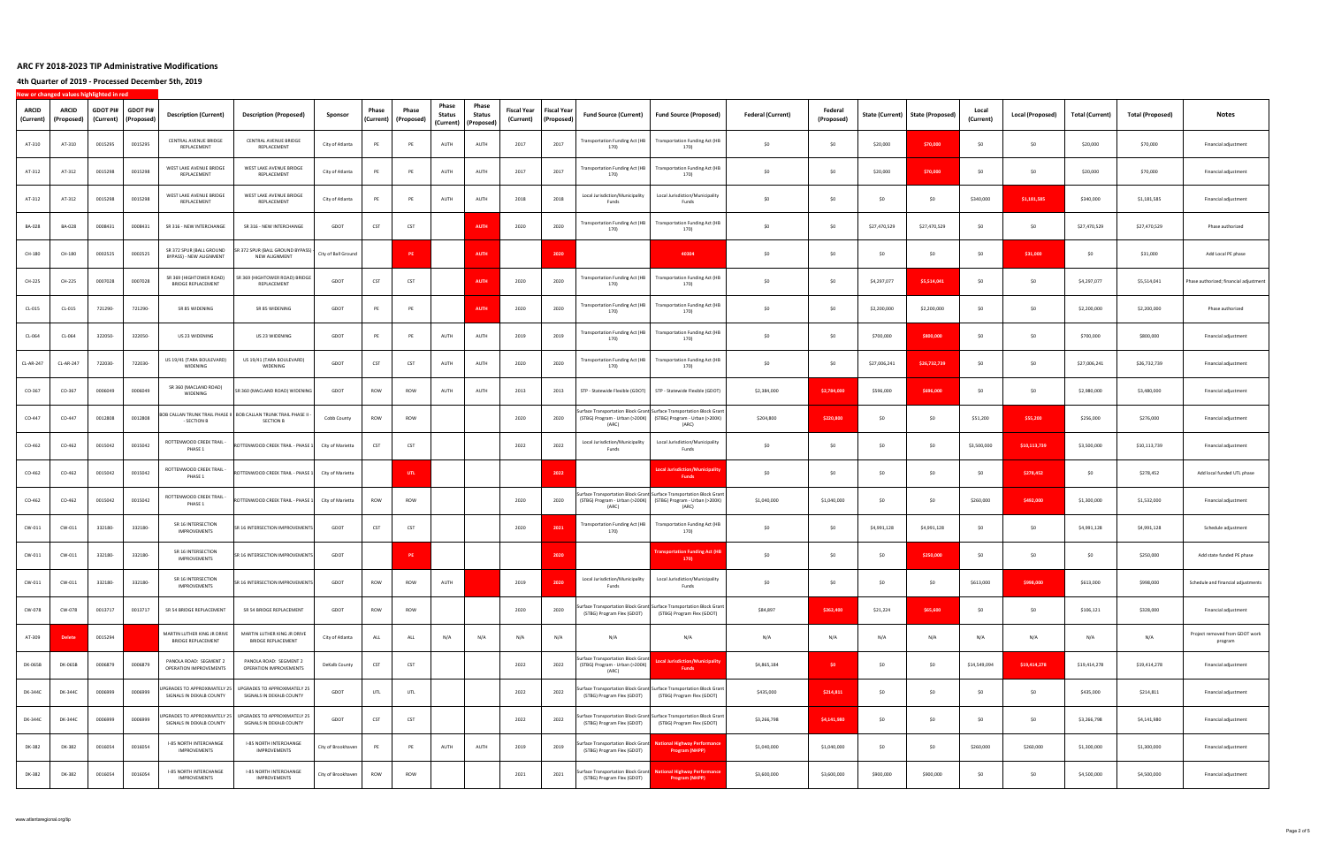**4th Quarter of 2019 ‐ Processed December 5th, 2019**

| <b>ARCID</b><br>(Current) | ARCID<br>(Proposed) | GDOT PI#<br>(Current) | <b>GDOT PI#</b><br>(Proposed) | <b>Description (Current)</b>                             | <b>Description (Proposed)</b>                                                         | Sponsor             | Phase<br>(Current) | Phase<br>(Proposed) | Phase<br><b>Status</b><br>(Current) | Phase<br><b>Status</b><br>(Proposed) | Fiscal Year<br>(Current) | Fiscal Year<br>(Proposed) | <b>Fund Source (Current)</b>                                                  | <b>Fund Source (Proposed)</b>                                                                                                                   | <b>Federal (Current)</b> | Federal<br>(Proposed) | State (Current) | <b>State (Proposed)</b> | Local<br>(Current) | Local (Proposed) | <b>Total (Current)</b> | <b>Total (Proposed)</b> | Notes                                     |
|---------------------------|---------------------|-----------------------|-------------------------------|----------------------------------------------------------|---------------------------------------------------------------------------------------|---------------------|--------------------|---------------------|-------------------------------------|--------------------------------------|--------------------------|---------------------------|-------------------------------------------------------------------------------|-------------------------------------------------------------------------------------------------------------------------------------------------|--------------------------|-----------------------|-----------------|-------------------------|--------------------|------------------|------------------------|-------------------------|-------------------------------------------|
| AT-310                    | AT-310              | 0015295               | 0015295                       | CENTRAL AVENUE BRIDGE<br>REPLACEMENT                     | CENTRAL AVENUE BRIDGE<br>REPLACEMENT                                                  | City of Atlanta     | PE                 | PE                  | AUTH                                | AUTH                                 | 2017                     | 2017                      | Transportation Funding Act (HB<br>170)                                        | <b>Transportation Funding Act (HB</b><br>170)                                                                                                   | \$0                      | \$0                   | \$20,000        | \$70,000                | - SO               | \$0              | \$20,000               | \$70,000                | Financial adjustment                      |
| AT-312                    | AT-312              | 0015298               | 0015298                       | WEST LAKE AVENUE BRIDGE<br>REPLACEMENT                   | WEST LAKE AVENUE BRIDGE<br>REPLACEMENT                                                | City of Atlanta     | PE                 | PE                  | AUTH                                | AUTH                                 | 2017                     | 2017                      | <b>Transportation Funding Act (HB</b><br>170)                                 | <b>Transportation Funding Act (HB</b><br>170)                                                                                                   | \$0                      | \$0                   | \$20,000        | \$70,000                | SO                 | \$0              | \$20,000               | \$70,000                | Financial adjustment                      |
| AT-312                    | AT-312              | 0015298               | 0015298                       | WEST LAKE AVENUE BRIDGE<br>REPLACEMENT                   | WEST LAKE AVENUE BRIDGE<br>REPLACEMENT                                                | City of Atlanta     | PE                 | PE                  | AUTH                                | AUTH                                 | 2018                     | 2018                      | Local Jurisdiction/Municipality<br>Funds                                      | Local Jurisdiction/Municipality<br>Funds                                                                                                        | \$0                      | \$0                   | \$0             | \$0                     | \$340,000          | \$1,181,585      | \$340,000              | \$1,181,585             | Financial adjustment                      |
| BA-028                    | BA-028              | 0008431               | 0008431                       | SR 316 - NEW INTERCHANGE                                 | SR 316 - NEW INTERCHANGE                                                              | GDOT                | CST                | CST                 |                                     | <b>AUTH</b>                          | 2020                     | 2020                      | <b>Transportation Funding Act (HB</b><br>170)                                 | <b>Transportation Funding Act (HB</b><br>170)                                                                                                   | \$0                      | \$0                   | \$27,470,529    | \$27,470,529            | -SO                | \$0              | \$27,470,529           | \$27,470,529            | Phase authorized                          |
| CH-180                    | CH-180              | 0002525               | 0002525                       | SR 372 SPUR (BALL GROUND<br>BYPASS) - NEW ALIGNMENT      | SR 372 SPUR (BALL GROUND BYPASS) -<br>NEW ALIGNMENT                                   | City of Ball Ground |                    | <b>PE</b>           |                                     | <b>AUTH</b>                          |                          | 2020                      |                                                                               | 40304                                                                                                                                           | \$0                      | \$0                   | \$0             | \$0                     | -SO                | \$31,000         | \$0                    | \$31,000                | Add Local PE phase                        |
| CH-225                    | CH-225              | 0007028               | 0007028                       | SR 369 (HIGHTOWER ROAD)<br><b>BRIDGE REPLACEMENT</b>     | SR 369 (HIGHTOWER ROAD) BRIDGE<br>REPLACEMENT                                         | GDOT                | CST                | CST                 |                                     | <b>AUTH</b>                          | 2020                     | 2020                      | <b>Transportation Funding Act (HB</b><br>170)                                 | <b>Transportation Funding Act (HB</b><br>170)                                                                                                   | \$0                      | \$0                   | \$4,297,077     | \$5,514,041             | \$0                | \$0              | \$4,297,077            | \$5,514,041             | Phase authorized; financial adjustment    |
| CL-015                    | CL-015              | 721290-               | 721290-                       | SR 85 WIDENING                                           | SR 85 WIDENING                                                                        | GDOT                | PE                 | PE                  |                                     | <b>AUTH</b>                          | 2020                     | 2020                      | <b>Transportation Funding Act (HB</b><br>170)                                 | <b>Transportation Funding Act (HB</b><br>170)                                                                                                   | SO                       | \$0                   | \$2,200,000     | \$2,200,000             | SO                 | \$0              | \$2,200,000            | \$2,200,000             | Phase authorized                          |
| CL-064                    | CL-064              | 322050-               | 322050-                       | US 23 WIDENING                                           | US 23 WIDENING                                                                        | GDOT                | PE                 | PE                  | AUTH                                | AUTH                                 | 2019                     | 2019                      | <b>Transportation Funding Act (HB</b><br>170)                                 | <b>Transportation Funding Act (HB</b><br>170)                                                                                                   | \$0                      | \$0                   | \$700,000       | \$800,000               | \$0                | \$0              | \$700,000              | \$800,000               | Financial adjustment                      |
| CL-AR-247                 | CL-AR-247           | 722030-               | 722030-                       | US 19/41 (TARA BOULEVARD)<br>WIDENING                    | US 19/41 (TARA BOULEVARD)<br>WIDENING                                                 | GDOT                | CST                | CST                 | AUTH                                | AUTH                                 | 2020                     | 2020                      | <b>Transportation Funding Act (HB</b><br>170)                                 | <b>Transportation Funding Act (HB</b><br>170)                                                                                                   | \$0                      | \$0                   | \$27,006,241    | \$26,732,739            | \$0                | \$0              | \$27,006,241           | \$26,732,739            | Financial adjustment                      |
| CO-367                    | CO-367              | 0006049               | 0006049                       | SR 360 (MACLAND ROAD)<br>WIDENING                        | SR 360 (MACLAND ROAD) WIDENING                                                        | GDOT                | ROW                | ROW                 | AUTH                                | AUTH                                 | 2013                     | 2013                      |                                                                               | STP - Statewide Flexible (GDOT) STP - Statewide Flexible (GDOT)                                                                                 | \$2,384,000              | \$2,784,000           | \$596,000       | \$696,000               | -SO                | \$0              | \$2,980,000            | \$3,480,000             | Financial adjustment                      |
| CO-447                    | CO-447              | 0012808               | 0012808                       | - SECTION B                                              | BOB CALLAN TRUNK TRAIL PHASE II   BOB CALLAN TRUNK TRAIL PHASE II<br><b>SECTION B</b> | Cobb County         | ROW                | ROW                 |                                     |                                      | 2020                     | 2020                      | (ARC)                                                                         | iurface Transportation Block Grant Surface Transportation Block Grant<br>(STBG) Program - Urban (>200K) (STBG) Program - Urban (>200K)<br>(ARC) | \$204,800                | \$220,800             | \$0             | \$0                     | \$51,200           | \$55,200         | \$256,000              | \$276,000               | Financial adjustment                      |
| CO-462                    | CO-462              | 0015042               | 0015042                       | ROTTENWOOD CREEK TRAIL -<br>PHASE 1                      | ROTTENWOOD CREEK TRAIL - PHASE 1                                                      | City of Marietta    | CST                | CST                 |                                     |                                      | 2022                     | 2022                      | Local Jurisdiction/Municipality<br>Funds                                      | Local Jurisdiction/Municipality<br>Funds                                                                                                        | \$0                      | \$0                   | \$0             | \$0                     | \$3,500,000        | \$10,113,739     | \$3,500,000            | \$10,113,739            | Financial adjustment                      |
| CO-462                    | CO-462              | 0015042               | 0015042                       | ROTTENWOOD CREEK TRAIL -<br>PHASE 1                      | ROTTENWOOD CREEK TRAIL - PHASE 1                                                      | City of Marietta    |                    | UTL                 |                                     |                                      |                          | 2022                      |                                                                               | ocal Jurisdiction/Municipalit<br>Funds                                                                                                          | \$0                      | \$0                   | \$0             | \$0                     | -SO                | \$278,452        | \$0                    | \$278,452               | Add local funded UTL phase                |
| CO-462                    | CO-462              | 0015042               | 0015042                       | ROTTENWOOD CREEK TRAIL -<br>PHASE 1                      | ROTTENWOOD CREEK TRAIL - PHASE 1                                                      | City of Marietta    | ROW                | ROW                 |                                     |                                      | 2020                     | 2020                      | (ARC)                                                                         | Surface Transportation Block Grant Surface Transportation Block Grant<br>(STBG) Program - Urban (>200K) (STBG) Program - Urban (>200K)<br>(ARC) | \$1,040,000              | \$1,040,000           | \$0             | \$0                     | \$260,000          | \$492,000        | \$1,300,000            | \$1,532,000             | Financial adjustment                      |
| CW-011                    | CW-011              | 332180-               | 332180-                       | SR 16 INTERSECTION<br><b>IMPROVEMENTS</b>                | SR 16 INTERSECTION IMPROVEMENTS                                                       | GDOT                | CST                | CST                 |                                     |                                      | 2020                     | 2021                      | Transportation Funding Act (HB<br>170)                                        | <b>Transportation Funding Act (HB</b><br>170)                                                                                                   | \$0                      | \$0                   | \$4,991,128     | \$4,991,128             | \$0                | \$0              | \$4,991,128            | \$4,991,128             | Schedule adjustment                       |
| CW-011                    | CW-011              | 332180-               | 332180-                       | SR 16 INTERSECTION<br><b>IMPROVEMENTS</b>                | SR 16 INTERSECTION IMPROVEMENTS                                                       | GDOT                |                    | PE.                 |                                     |                                      |                          | 2020                      |                                                                               | Insportation Funding Act (HI<br>170)                                                                                                            | SO                       | \$0                   | \$0             | \$250,000               | \$0                | \$0              | \$0                    | \$250,000               | Add state funded PE phase                 |
| CW-011                    | CW-011              | 332180-               | 332180-                       | SR 16 INTERSECTION<br><b>IMPROVEMENTS</b>                | R 16 INTERSECTION IMPROVEMENTS                                                        | GDOT                | ROW                | ROW                 | AUTH                                |                                      | 2019                     | 2020                      | Local Jurisdiction/Municipality<br>Funds                                      | Local Jurisdiction/Municipality<br>Funds                                                                                                        | \$0                      | \$0                   | SO              | \$0                     | \$613,000          | \$998,000        | \$613,000              | \$998,000               | Schedule and financial adjustments        |
| CW-078                    | CW-078              | 0013717               | 0013717                       | SR 54 BRIDGE REPLACEMENT                                 | SR 54 BRIDGE REPLACEMENT                                                              | GDOT                | ROW                | ROW                 |                                     |                                      | 2020                     | 2020                      |                                                                               | Surface Transportation Block Grant Surface Transportation Block Grant<br>(STBG) Program Flex (GDOT) (STBG) Program Flex (GDOT)                  | \$84,897                 | \$262,400             | \$21,224        | \$65,600                | \$0                | \$0              | \$106,121              | \$328,000               | Financial adjustment                      |
| AT-309                    | <b>Delete</b>       | 0015294               |                               | MARTIN LUTHER KING JR DRIVE<br><b>BRIDGE REPLACEMENT</b> | MARTIN LUTHER KING JR DRIVE<br><b>BRIDGE REPLACEMENT</b>                              | City of Atlanta     | ALL                | ALL                 | N/A                                 | N/A                                  | N/A                      | N/A                       | N/A                                                                           | N/A                                                                                                                                             | N/A                      | N/A                   | N/A             | N/A                     | N/A                | N/A              | N/A                    | N/A                     | Project removed from GDOT work<br>program |
| DK-065B                   | DK-065B             | 0006879               | 0006879                       | PANOLA ROAD: SEGMENT 2<br>OPERATION IMPROVEMENTS         | PANOLA ROAD: SEGMENT 2<br>OPERATION IMPROVEMENTS                                      | DeKalb County       | CST                | CST                 |                                     |                                      | 2022                     | 2022                      | Surface Transportation Block Grant<br>(STBG) Program - Urban (>200K)<br>(ARC) | cal Jurisdiction/Municipality<br>Funds                                                                                                          | \$4,865,184              | \$0                   | \$0             | \$0                     | \$14,549,094       | \$19,414,278     | \$19,414,278           | \$19,414,278            | Financial adjustment                      |
| DK-344C                   | DK-344C             | 0006999               | 0006999                       | UPGRADES TO APPROXIMATELY 25<br>SIGNALS IN DEKALB COUNTY | UPGRADES TO APPROXIMATELY 25<br>SIGNALS IN DEKALB COUNTY                              | GDOT                | UTL                | UTL                 |                                     |                                      | 2022                     | 2022                      | (STBG) Program Flex (GDOT)                                                    | Surface Transportation Block Grant Surface Transportation Block Grant<br>(STBG) Program Flex (GDOT)                                             | \$435,000                | \$214,811             | \$0             | \$0                     | \$0                | \$0              | \$435,000              | \$214,811               | Financial adjustment                      |
| <b>DK-344C</b>            | DK-344C             | 0006999               | 0006999                       | UPGRADES TO APPROXIMATELY 25<br>SIGNALS IN DEKALB COUNTY | UPGRADES TO APPROXIMATELY 25<br>SIGNALS IN DEKALB COUNTY                              | GDOT                | CST                | CST                 |                                     |                                      | 2022                     | 2022                      | (STBG) Program Flex (GDOT)                                                    | Surface Transportation Block Grant Surface Transportation Block Grant<br>(STBG) Program Flex (GDOT)                                             | \$3,266,798              | \$4,141,980           | \$0             | \$0                     | \$0                | \$0              | \$3,266,798            | \$4,141,980             | Financial adjustment                      |
| DK-382                    | DK-382              | 0016054               | 0016054                       | I-85 NORTH INTERCHANGE<br><b>IMPROVEMENTS</b>            | I-85 NORTH INTERCHANGE<br>IMPROVEMENTS                                                | City of Brookhaven  | PE                 | PE                  | AUTH                                | AUTH                                 | 2019                     | 2019                      | Surface Transportation Block Grant<br>(STBG) Program Flex (GDOT)              | lational Highway Performance<br>Program (NHPP)                                                                                                  | \$1,040,000              | \$1,040,000           | \$0             | \$0                     | \$260,000          | \$260,000        | \$1,300,000            | \$1,300,000             | Financial adjustment                      |
| DK-382                    | DK-382              | 0016054               | 0016054                       | I-85 NORTH INTERCHANGE<br>IMPROVEMENTS                   | I-85 NORTH INTERCHANGE<br><b>IMPROVEMENTS</b>                                         | City of Brookhaven  | ROW                | ROW                 |                                     |                                      | 2021                     | 2021                      | iurface Transportation Block Grant<br>(STBG) Program Flex (GDOT)              | <b>National Highway Performance</b><br>Program (NHPP)                                                                                           | \$3,600,000              | \$3,600,000           | \$900,000       | \$900,000               | \$0                | \$0              | \$4,500,000            | \$4,500,000             | Financial adjustment                      |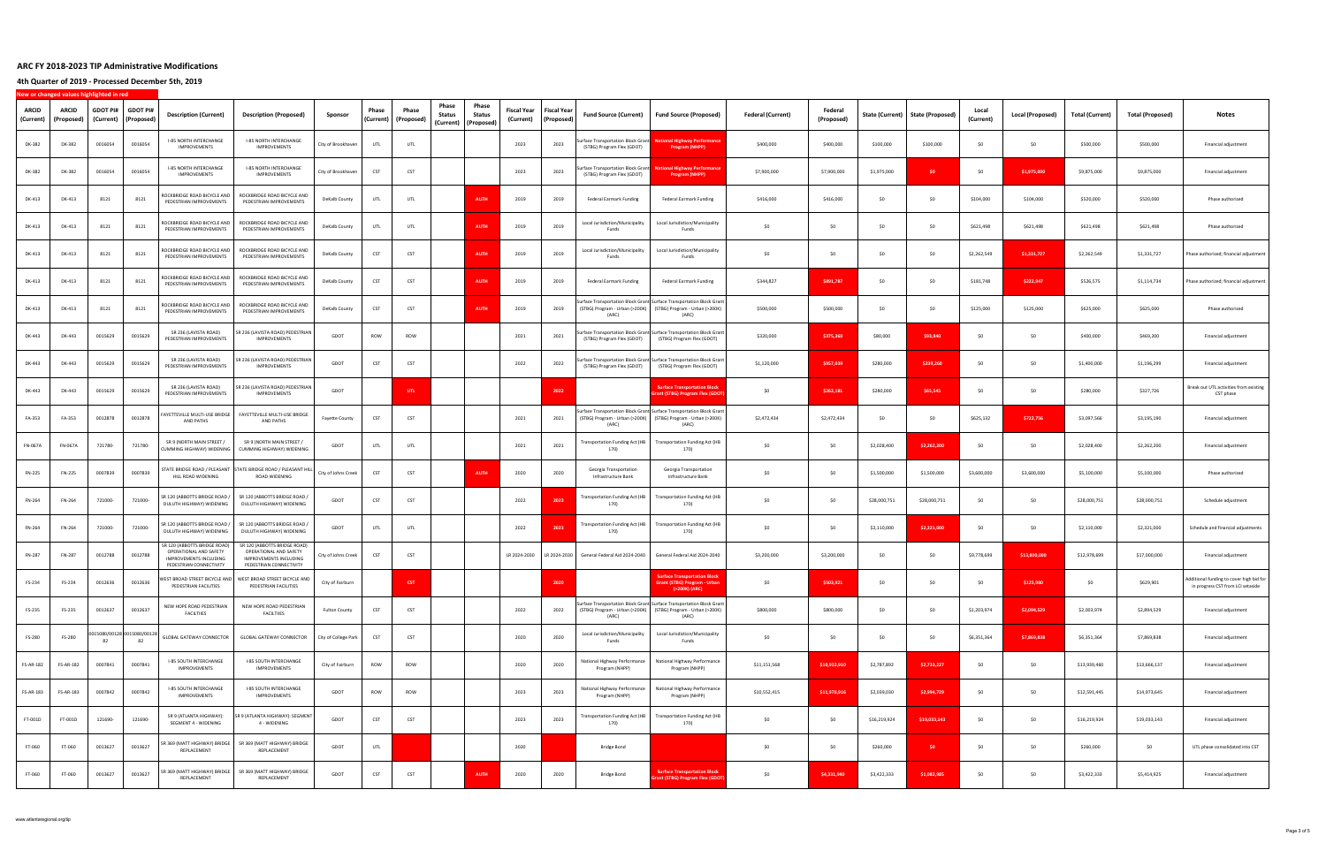**4th Quarter of 2019 ‐ Processed December 5th, 2019**

| <b>ARCID</b><br>(Current) | ARCID<br>(Proposed) | <b>GDOT PI#</b><br>(Current) | <b>GDOT PI#</b><br>(Proposed)    | <b>Description (Current)</b>                                                                                | <b>Description (Proposed)</b>                                                                                      | Sponsor               | Phase<br>(Current) | Phase<br>(Proposed) | Phase<br>Phase<br>Status<br>Status<br>(Current)   (Proposed) | Fiscal Year<br>(Current) | Fiscal Year<br>(Proposed) | <b>Fund Source (Current)</b>                                    | <b>Fund Source (Proposed)</b>                                                                                                                   | <b>Federal (Current)</b> | Federal<br>(Proposed) | State (Current) | <b>State (Proposed)</b> | Local<br>(Current) | Local (Proposed) | <b>Total (Current)</b> | <b>Total (Proposed)</b> | Notes                                                                         |
|---------------------------|---------------------|------------------------------|----------------------------------|-------------------------------------------------------------------------------------------------------------|--------------------------------------------------------------------------------------------------------------------|-----------------------|--------------------|---------------------|--------------------------------------------------------------|--------------------------|---------------------------|-----------------------------------------------------------------|-------------------------------------------------------------------------------------------------------------------------------------------------|--------------------------|-----------------------|-----------------|-------------------------|--------------------|------------------|------------------------|-------------------------|-------------------------------------------------------------------------------|
| DK-382                    | DK-382              | 0016054                      | 0016054                          | I-85 NORTH INTERCHANGE<br>IMPROVEMENTS                                                                      | I-85 NORTH INTERCHANGE<br>IMPROVEMENTS                                                                             | City of Brookhaver    | UTL                | UTL                 |                                                              | 2023                     | 2023                      | urface Transportation Block Grant<br>(STBG) Program Flex (GDOT) | lational Highway Performanc<br>Program (NHPP)                                                                                                   | \$400,000                | \$400,000             | \$100,000       | \$100,000               | - SO               | \$0              | \$500,000              | \$500,000               | Financial adjustment                                                          |
| DK-382                    | DK-382              | 0016054                      | 0016054                          | I-85 NORTH INTERCHANGE<br>IMPROVEMENTS                                                                      | <b>I-85 NORTH INTERCHANGE</b><br>IMPROVEMENTS                                                                      | City of Brookhaver    | CST                | CST                 |                                                              | 2023                     | 2023                      | urface Transportation Block Grant<br>(STBG) Program Flex (GDOT) | ional Highway Performance<br><b>Program (NHPP)</b>                                                                                              | \$7,900,000              | \$7,900,000           | \$1,975,000     | \$0                     | -SO                | \$1,975,000      | \$9,875,000            | \$9,875,000             | Financial adjustment                                                          |
| DK-413                    | DK-413              | 8121                         | 8121                             | ROCKBRIDGE ROAD BICYCLE AND<br>PEDESTRIAN IMPROVEMENTS                                                      | ROCKBRIDGE ROAD BICYCLE AND<br>PEDESTRIAN IMPROVEMENTS                                                             | DeKalb County         | UTL                | UTL                 | <b>AUTH</b>                                                  | 2019                     | 2019                      | Federal Earmark Funding                                         | Federal Earmark Funding                                                                                                                         | \$416,000                | \$416,000             | \$0             | \$0                     | \$104,000          | \$104,000        | \$520,000              | \$520,000               | Phase authorized                                                              |
| DK-413                    | DK-413              | 8121                         | 8121                             | ROCKBRIDGE ROAD BICYCLE AND<br>PEDESTRIAN IMPROVEMENTS                                                      | ROCKBRIDGE ROAD BICYCLE AND<br>PEDESTRIAN IMPROVEMENTS                                                             | DeKalb County         | UTL                | UTL                 | <b>AUTH</b>                                                  | 2019                     | 2019                      | Local Jurisdiction/Municipality<br>Funds                        | Local Jurisdiction/Municipality<br>Funds                                                                                                        | \$0                      | \$0                   | \$0             | \$0                     | \$621,498          | \$621,498        | \$621,498              | \$621,498               | Phase authorized                                                              |
| DK-413                    | DK-413              | 8121                         | 8121                             | ROCKBRIDGE ROAD BICYCLE AND<br>PEDESTRIAN IMPROVEMENTS                                                      | ROCKBRIDGE ROAD BICYCLE AND<br>PEDESTRIAN IMPROVEMENTS                                                             | DeKalb County         | CST                | CST                 | <b>AUTH</b>                                                  | 2019                     | 2019                      | Local Jurisdiction/Municipality<br>Funds                        | Local Jurisdiction/Municipality<br>Funds                                                                                                        | SO                       | SO                    | \$0             | \$0                     | \$2,262,549        | \$1,331,727      | \$2,262,549            | \$1,331,727             | Phase authorized; financial adjustment                                        |
| DK-413                    | DK-413              | 8121                         | 8121                             | ROCKBRIDGE ROAD BICYCLE AND<br>PEDESTRIAN IMPROVEMENTS                                                      | ROCKBRIDGE ROAD BICYCLE AND<br>PEDESTRIAN IMPROVEMENTS                                                             | DeKalb County         | CST                | CST                 | <b>AUTH</b>                                                  | 2019                     | 2019                      | Federal Earmark Funding                                         | Federal Earmark Funding                                                                                                                         | \$344,827                | \$891,787             | \$0             | \$0                     | \$181,748          | \$222,947        | \$526,575              | \$1,114,734             | Phase authorized; financial adjustment                                        |
| DK-413                    | DK-413              | 8121                         | 8121                             | ROCKBRIDGE ROAD BICYCLE AND<br>PEDESTRIAN IMPROVEMENTS                                                      | ROCKBRIDGE ROAD BICYCLE AND<br>PEDESTRIAN IMPROVEMENTS                                                             | DeKalb County         | CST                | CST                 | <b>AUTH</b>                                                  | 2019                     | 2019                      | (ARC)                                                           | urface Transportation Block Grant Surface Transportation Block Grant<br>(STBG) Program - Urban (>200K) (STBG) Program - Urban (>200K)<br>(ARC)  | \$500,000                | \$500,000             | \$0             | \$0                     | \$125,000          | \$125,000        | \$625,000              | \$625,000               | Phase authorized                                                              |
| DK-443                    | DK-443              | 0015629                      | 0015629                          | SR 236 (LAVISTA ROAD)<br>PEDESTRIAN IMPROVEMENTS                                                            | SR 236 (LAVISTA ROAD) PEDESTRIAN<br>IMPROVEMENTS                                                                   | GDOT                  | ROW                | ROW                 |                                                              | 2021                     | 2021                      | (STBG) Program Flex (GDOT)                                      | urface Transportation Block Grant Surface Transportation Block Grant<br>(STBG) Program Flex (GDOT)                                              | \$320,000                | \$375,360             | \$80,000        | \$93,840                | \$0                | \$0              | \$400,000              | \$469,200               | Financial adjustment                                                          |
| DK-443                    | DK-443              | 0015629                      | 0015629                          | SR 236 (LAVISTA ROAD)<br>PEDESTRIAN IMPROVEMENTS                                                            | R 236 (LAVISTA ROAD) PEDESTRIAN<br>IMPROVEMENTS                                                                    | GDOT                  | CST                | CST                 |                                                              | 2022                     | 2022                      |                                                                 | urface Transportation Block Grant Surface Transportation Block Grant<br>(STBG) Program Flex (GDOT) (STBG) Program Flex (GDOT)                   | \$1,120,000              | \$957,039             | \$280,000       | \$239,260               | -SO                | \$0              | \$1,400,000            | \$1,196,299             | Financial adjustment                                                          |
| DK-443                    | DK-443              | 0015629                      | 0015629                          | SR 236 (LAVISTA ROAD)<br>PEDESTRIAN IMPROVEMENTS                                                            | SR 236 (LAVISTA ROAD) PEDESTRIAN<br>IMPROVEMENTS                                                                   | GDOT                  |                    | UTL                 |                                                              |                          | 2022                      |                                                                 | <b>Surface Transportation Block</b><br><b>Grant (STBG) Program Flex (GDOT</b>                                                                   | \$0                      | \$262,181             | \$280,000       | \$65,545                | -SO                | \$0              | \$280,000              | \$327,726               | Break out UTL activities from existing<br>CST phase                           |
| FA-353                    | FA-353              | 0012878                      | 0012878                          | FAYETTEVILLE MULTI-USE BRIDGE<br>AND PATHS                                                                  | FAYETTEVILLE MULTI-USE BRIDGE<br>AND PATHS                                                                         | <b>Fayette County</b> | CST                | CST                 |                                                              | 2021                     | 2021                      | (ARC)                                                           | Surface Transportation Block Grant Surface Transportation Block Grant<br>(STBG) Program - Urban (>200K) (STBG) Program - Urban (>200K)<br>(ARC) | \$2,472,434              | \$2,472,434           | \$0             | \$0                     | \$625,132          | \$722,756        | \$3,097,566            | \$3,195,190             | Financial adjustment                                                          |
| FN-067A                   | FN-067A             | 721780-                      | 721780-                          | SR 9 (NORTH MAIN STREET /<br>CUMMING HIGHWAY) WIDENING                                                      | SR 9 (NORTH MAIN STREET /<br>CUMMING HIGHWAY) WIDENING                                                             | GDOT                  | UTL                | UTL                 |                                                              | 2021                     | 2021                      | 170)                                                            | Transportation Funding Act (HB Transportation Funding Act (HB<br>170)                                                                           | \$0                      | \$0                   | \$2,028,400     | \$2,262,200             | - SO               | \$0              | \$2,028,400            | \$2,262,200             | Financial adjustment                                                          |
| FN-225                    | FN-225              | 0007839                      | 0007839                          | HILL ROAD WIDENING                                                                                          | STATE BRIDGE ROAD / PLEASANT STATE BRIDGE ROAD / PLEASANT HILL<br>ROAD WIDENING                                    | City of Johns Creek   | CST                | CST                 | <b>AUTH</b>                                                  | 2020                     | 2020                      | Georgia Transportation<br>Infrastructure Bank                   | Georgia Transportation<br>Infrastructure Bank                                                                                                   | SO                       | SO                    | \$1,500,000     | \$1,500,000             | \$3,600,000        | \$3,600,000      | \$5,100,000            | \$5,100,000             | Phase authorized                                                              |
| FN-264                    | FN-264              | 721000-                      | 721000-                          | SR 120 (ABBOTTS BRIDGE ROAD /<br>DULUTH HIGHWAY) WIDENING                                                   | SR 120 (ABBOTTS BRIDGE ROAD /<br>DULUTH HIGHWAY) WIDENING                                                          | GDOT                  | CST                | CST                 |                                                              | 2022                     | 2023                      | <b>Fransportation Funding Act (HB</b><br>170)                   | <b>Transportation Funding Act (HB</b><br>170)                                                                                                   | SO                       | \$0                   | \$28,000,751    | \$28,000,751            | - SO               | \$0              | \$28,000,751           | \$28,000,751            | Schedule adjustment                                                           |
| FN-264                    | FN-264              | 721000-                      | 721000-                          | SR 120 (ABBOTTS BRIDGE ROAD /<br>DULUTH HIGHWAY) WIDENING                                                   | SR 120 (ABBOTTS BRIDGE ROAD /<br>DULUTH HIGHWAY) WIDENING                                                          | GDOT                  | UTL                | UTL                 |                                                              | 2022                     | 2023                      | <b>Fransportation Funding Act (HB</b><br>170)                   | <b>Transportation Funding Act (HB</b><br>170)                                                                                                   | SO                       | \$0                   | \$2,110,000     | \$2,321,000             | -SO                | \$0              | \$2,110,000            | \$2,321,000             | Schedule and financial adjustments                                            |
| FN-287                    | FN-287              | 0012788                      | 0012788                          | SR 120 (ABBOTTS BRIDGE ROAD)<br>OPERATIONAL AND SAFETY<br>IMPROVEMENTS INCLUDING<br>PEDESTRIAN CONNECTIVITY | SR 120 (ABBOTTS BRIDGE ROAD)<br>OPERATIONAL AND SAFETY<br><b>IMPROVEMENTS INCLUDING</b><br>PEDESTRIAN CONNECTIVITY | City of Johns Creek   | CST                | CST                 |                                                              | LR 2024-2030             |                           | LR 2024-2030 General Federal Aid 2024-2040                      | General Federal Aid 2024-2040                                                                                                                   | \$3,200,000              | \$3,200,000           | \$0             | \$0                     | \$9,778,699        | \$13,800,000     | \$12,978,699           | \$17,000,000            | Financial adjustment                                                          |
| FS-234                    | FS-234              | 0012636                      | 0012636                          | PEDESTRIAN FACILITIES                                                                                       | WEST BROAD STREET BICYCLE AND WEST BROAD STREET BICYCLE AND<br>PEDESTRIAN FACILITIES                               | City of Fairburn      |                    | <b>CST</b>          |                                                              |                          | 2020                      |                                                                 | <b>Surface Transportation Block</b><br><b>Srant (STBG) Program - Urban</b><br>(>200K) (ARC)                                                     | \$0                      | \$503,921             | \$0             | \$0                     | \$0                | \$125,980        | \$0                    | \$629,901               | Additional funding to cover high bid for<br>in progress CST from LCI setaside |
| FS-235                    | FS-235              | 0012637                      | 0012637                          | NEW HOPE ROAD PEDESTRIAN<br><b>FACILTIIES</b>                                                               | NEW HOPE ROAD PEDESTRIAN<br><b>FACILTIIES</b>                                                                      | <b>Fulton County</b>  | CST                | CST                 |                                                              | 2022                     | 2022                      | (ARC)                                                           | Surface Transportation Block Grant Surface Transportation Block Grant<br>(STBG) Program - Urban (>200K) (STBG) Program - Urban (>200K)<br>(ARC) | \$800,000                | \$800,000             | \$0             | \$0                     | \$1,203,974        | \$2,094,529      | \$2,003,974            | \$2,894,529             | Financial adjustment                                                          |
| FS-280                    | FS-280              | 82                           | 015080/00128 0015080/00128<br>82 | GLOBAL GATEWAY CONNECTOR                                                                                    | <b>GLOBAL GATEWAY CONNECTOR</b>                                                                                    | City of College Park  | CST                | CST                 |                                                              | 2020                     | 2020                      | Local Jurisdiction/Municipality<br>Funds                        | Local Jurisdiction/Municipality<br>Funds                                                                                                        | \$0                      | \$0                   | \$0             | \$0                     | \$6,351,364        | \$7,869,838      | \$6,351,364            | \$7,869,838             | Financial adjustment                                                          |
| FS-AR-182                 | FS-AR-182           | 0007841                      | 0007841                          | <b>I-85 SOUTH INTERCHANGE</b><br><b>IMPROVEMENTS</b>                                                        | I-85 SOUTH INTERCHANGE<br><b>IMPROVEMENTS</b>                                                                      | City of Fairburn      | ROW                | ROW                 |                                                              | 2020                     | 2020                      | National Highway Performance<br>Program (NHPP)                  | National Highway Performance<br>Program (NHPP)                                                                                                  | \$11,151,568             | \$10,932,910          | \$2,787,892     | \$2,733,227             | \$0                | \$0              | \$13,939,460           | \$13,666,137            | Financial adjustment                                                          |
| <b>FS-AR-183</b>          | FS-AR-183           | 0007842                      | 0007842                          | I-85 SOUTH INTERCHANGE<br><b>IMPROVEMENTS</b>                                                               | I-85 SOUTH INTERCHANGE<br>IMPROVEMENTS                                                                             | GDOT                  | ROW                | ROW                 |                                                              | 2023                     | 2023                      | National Highway Performance<br>Program (NHPP)                  | National Highway Performance<br>Program (NHPP)                                                                                                  | \$10,552,415             | \$11,978,916          | \$2,039,030     | \$2,994,729             | \$0                | \$0              | \$12,591,445           | \$14,973,645            | Financial adjustment                                                          |
| FT-001D                   | FT-001D             | 121690-                      | 121690-                          | SR 9 (ATLANTA HIGHWAY):<br>SEGMENT 4 - WIDENING                                                             | SR 9 (ATLANTA HIGHWAY): SEGMENT<br>4 - WIDENING                                                                    | GDOT                  | CST                | CST                 |                                                              | 2023                     | 2023                      | <b>Transportation Funding Act (HB</b><br>170)                   | <b>Transportation Funding Act (HB</b><br>170)                                                                                                   | \$0                      | \$0                   | \$16,219,924    | \$19,033,143            | \$0                | \$0              | \$16,219,924           | \$19,033,143            | Financial adjustment                                                          |
| FT-060                    | FT-060              | 0013627                      | 0013627                          | SR 369 (MATT HIGHWAY) BRIDGE<br>REPLACEMENT                                                                 | SR 369 (MATT HIGHWAY) BRIDGE<br>REPLACEMENT                                                                        | GDOT                  | UTL                |                     |                                                              | 2020                     |                           | <b>Bridge Bond</b>                                              |                                                                                                                                                 | \$0                      | \$0                   | \$260,000       | SO <sub>2</sub>         | \$0                | \$0              | \$260,000              | \$0                     | UTL phase consolidated into CST                                               |
| FT-060                    | FT-060              | 0013627                      | 0013627                          | SR 369 (MATT HIGHWAY) BRIDGE<br>REPLACEMENT                                                                 | SR 369 (MATT HIGHWAY) BRIDGE<br>REPLACEMENT                                                                        | GDOT                  | CST                | CST                 | <b>AUTH</b>                                                  | 2020                     | 2020                      | <b>Bridge Bond</b>                                              | urface Transportation Block<br>ant (STBG) Program Flex (GDOT                                                                                    | \$0                      | \$4,331,940           | \$3,422,333     | \$1,082,985             | \$0                | \$0              | \$3,422,333            | \$5,414,925             | Financial adjustment                                                          |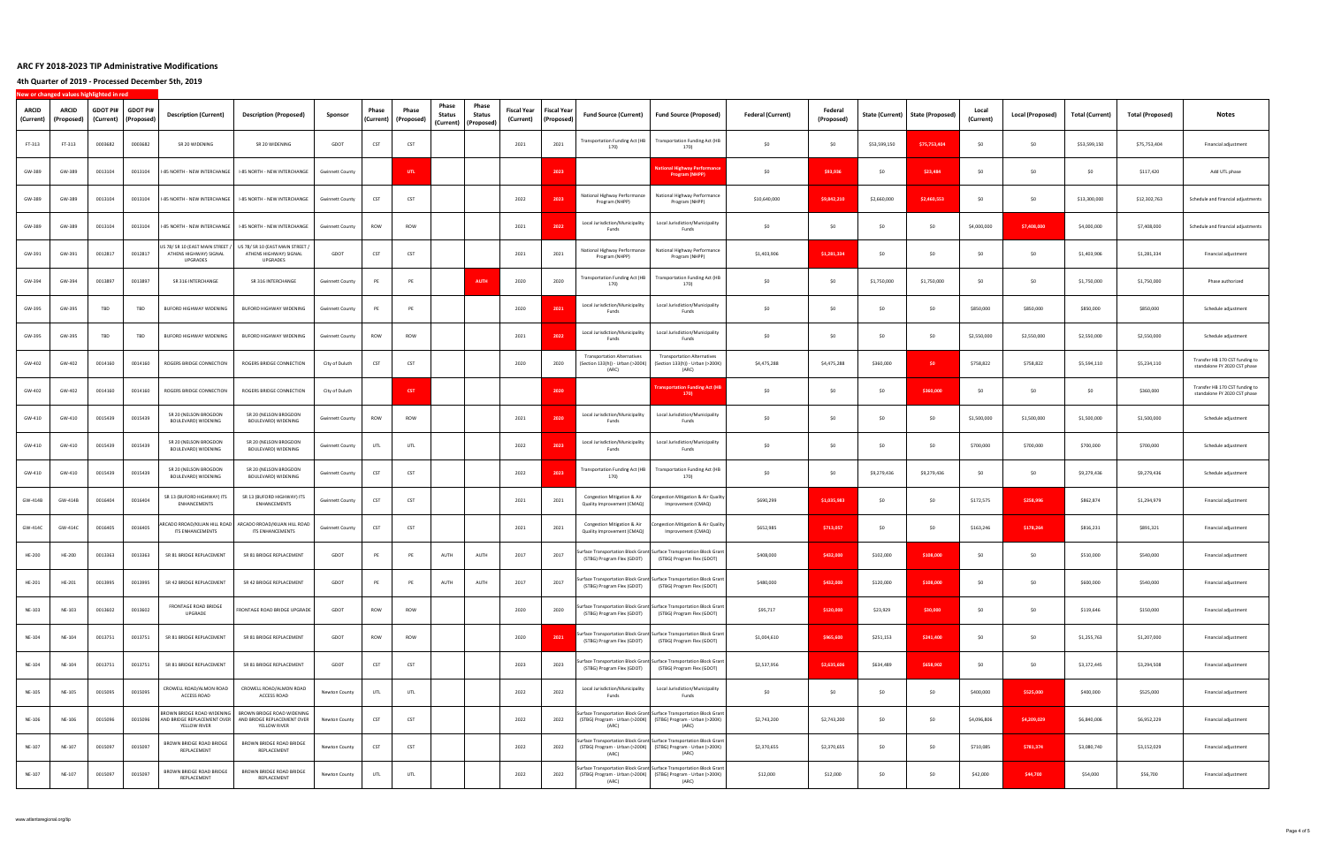**4th Quarter of 2019 ‐ Processed December 5th, 2019**

| ARCID<br>(Current) | ARCID<br>(Proposed) | <b>GDOT PI#</b><br>(Current) | <b>GDOT PI#</b><br>(Proposed | <b>Description (Current)</b>                                           | <b>Description (Proposed)</b>                                                                                                    | Sponsor                | Phase<br>(Current) | Phase<br>(Proposed) | Phase<br>Phase<br>Status<br>Status<br>(Current)   (Proposed) | Fiscal Year<br>(Current) | Fiscal Year<br>(Proposed | Fund Source (Current)                                                           | <b>Fund Source (Proposed)</b>                                                                                                                     | <b>Federal (Current)</b> | Federal<br>(Proposed) |              | State (Current)   State (Proposed) | Local<br>(Current) | Local (Proposed) | <b>Total (Current)</b> | <b>Total (Proposed)</b> | Notes                                                          |
|--------------------|---------------------|------------------------------|------------------------------|------------------------------------------------------------------------|----------------------------------------------------------------------------------------------------------------------------------|------------------------|--------------------|---------------------|--------------------------------------------------------------|--------------------------|--------------------------|---------------------------------------------------------------------------------|---------------------------------------------------------------------------------------------------------------------------------------------------|--------------------------|-----------------------|--------------|------------------------------------|--------------------|------------------|------------------------|-------------------------|----------------------------------------------------------------|
| FT-313             | FT-313              | 0003682                      | 0003682                      | SR 20 WIDENING                                                         | SR 20 WIDENING                                                                                                                   | GDOT                   | CST                | CST                 |                                                              | 2021                     | 2021                     | Transportation Funding Act (HB<br>170)                                          | <b>Transportation Funding Act (HB</b><br>170)                                                                                                     | \$0                      | \$0                   | \$53,599,150 | \$75,753,404                       | - SO               | \$0              | \$53,599,150           | \$75,753,404            | Financial adjustment                                           |
| GW-389             | GW-389              | 0013104                      | 0013104                      | I-85 NORTH - NEW INTERCHANGE                                           | I-85 NORTH - NEW INTERCHANGE                                                                                                     | <b>Gwinnett County</b> |                    | UTL                 |                                                              |                          | 2023                     |                                                                                 | onal Highway Performai<br>Program (NHPP)                                                                                                          | SO.                      | \$93,936              | \$0          | \$23,484                           | - SO               | \$0              | \$0                    | \$117,420               | Add UTL phase                                                  |
| GW-389             | GW-389              | 0013104                      | 0013104                      | I-85 NORTH - NEW INTERCHANGE                                           | I-85 NORTH - NEW INTERCHANGE                                                                                                     | <b>Gwinnett County</b> | CST                | CST                 |                                                              | 2022                     | 2023                     | National Highway Performance<br>Program (NHPP)                                  | National Highway Performance<br>Program (NHPP)                                                                                                    | \$10,640,000             | \$9,842,210           | \$2,660,000  | \$2,460.553                        | - SO               | \$0              | \$13,300,000           | \$12,302,763            | Schedule and financial adjustments                             |
| GW-389             | GW-389              | 0013104                      | 0013104                      | I-85 NORTH - NEW INTERCHANGE                                           | I-85 NORTH - NEW INTERCHANGE                                                                                                     | <b>Gwinnett County</b> | ROW                | ROW                 |                                                              | 2021                     | 2022                     | Local Jurisdiction/Municipality<br>Funds                                        | Local Jurisdiction/Municipality<br>Funds                                                                                                          | \$0                      | SO                    | \$0          | \$0                                | \$4,000,000        | \$7,408,000      | \$4,000,000            | \$7,408,000             | Schedule and financial adjustments                             |
| GW-391             | GW-391              | 0012817                      | 0012817                      | US 78/ SR 10 (EAST MAIN STREET /<br>ATHENS HIGHWAY) SIGNAL<br>UPGRADES | US 78/ SR 10 (EAST MAIN STREET)<br>ATHENS HIGHWAY) SIGNAL<br>UPGRADES                                                            | GDOT                   | CST                | CST                 |                                                              | 2021                     | 2021                     | National Highway Performance<br>Program (NHPP)                                  | National Highway Performance<br>Program (NHPP)                                                                                                    | \$1,403,906              | \$1,281,334           | \$0          | \$0                                |                    | \$0              | \$1,403,906            | \$1,281,334             | Financial adjustment                                           |
| GW-394             | GW-394              | 0013897                      | 0013897                      | SR 316 INTERCHANGE                                                     | SR 316 INTERCHANGE                                                                                                               | <b>Gwinnett County</b> |                    | PE                  | <b>AUTH</b>                                                  | 2020                     | 2020                     | Transportation Funding Act (HB<br>170)                                          | <b>Transportation Funding Act (HB</b><br>170)                                                                                                     | SO                       | SO                    | \$1,750,000  | \$1,750,000                        | - SO               | \$0              | \$1,750,000            | \$1,750,000             | Phase authorized                                               |
| GW-395             | GW-395              | TBD                          | TBD                          | <b>BUFORD HIGHWAY WIDENING</b>                                         | BUFORD HIGHWAY WIDENING                                                                                                          | <b>Gwinnett County</b> |                    | PE                  |                                                              | 2020                     | 2021                     | Local Jurisdiction/Municipality<br>Funds                                        | Local Jurisdiction/Municipality<br>Funds                                                                                                          | SO.                      | -SO                   | S0           | -SO                                | \$850,000          | \$850,000        | \$850,000              | \$850,000               | Schedule adjustment                                            |
| GW-395             | GW-395              | TBD                          | TBD                          | BUFORD HIGHWAY WIDENING                                                | BUFORD HIGHWAY WIDENING                                                                                                          | <b>Gwinnett County</b> | ROW                | ROW                 |                                                              | 2021                     | 202                      | Local Jurisdiction/Municipality<br>Funds                                        | Local Jurisdiction/Municipality<br>Funds                                                                                                          | \$0                      | SO                    | \$0          | \$0                                | \$2,550,000        | \$2,550,000      | \$2,550,000            | \$2,550,000             | Schedule adjustment                                            |
| GW-402             | GW-402              | 0014160                      | 0014160                      | ROGERS BRIDGE CONNECTION                                               | ROGERS BRIDGE CONNECTION                                                                                                         | City of Duluth         | CST                | CST                 |                                                              | 2020                     | 2020                     | <b>Transportation Alternatives</b><br>(Section 133(h)) - Urban (>200K)<br>(ARC) | <b>Transportation Alternatives</b><br>(Section 133(h)) - Urban (>200K)<br>(ARC)                                                                   | \$4,475,288              | \$4,475,288           | \$360,000    | \$0                                | \$758,822          | \$758,822        | \$5,594,110            | \$5,234,110             | Transfer HB 170 CST funding to<br>standalone FY 2020 CST phase |
| GW-402             | GW-402              | 0014160                      | 0014160                      | ROGERS BRIDGE CONNECTION                                               | ROGERS BRIDGE CONNECTION                                                                                                         | City of Duluth         |                    | <b>CST</b>          |                                                              |                          | 2020                     |                                                                                 | ransportation Funding Act (HB<br>170)                                                                                                             | \$0                      | SO.                   | \$0          | \$360,000                          | - SO               | \$0              | \$0                    | \$360,000               | Transfer HB 170 CST funding to<br>standalone FY 2020 CST phase |
| GW-410             | GW-410              | 0015439                      | 0015439                      | SR 20 (NELSON BROGDON<br>BOULEVARD) WIDENING                           | SR 20 (NELSON BROGDON<br>BOULEVARD) WIDENING                                                                                     | <b>Gwinnett County</b> | ROW                | ROW                 |                                                              | 2021                     | 2020                     | Local Jurisdiction/Municipality<br>Funds                                        | Local Jurisdiction/Municipality<br>Funds                                                                                                          | SO.                      | SO                    | \$0          | \$0                                | \$1,500,000        | \$1,500,000      | \$1,500,000            | \$1,500,000             | Schedule adjustment                                            |
| GW-410             | GW-410              | 0015439                      | 0015439                      | SR 20 (NELSON BROGDON<br>BOULEVARD) WIDENING                           | SR 20 (NELSON BROGDON<br>BOULEVARD) WIDENING                                                                                     | <b>Gwinnett County</b> | UTL                | UTL                 |                                                              | 2022                     | 2023                     | Local Jurisdiction/Municipality<br>Funds                                        | Local Jurisdiction/Municipality<br>Funds                                                                                                          | SO.                      | \$0                   | \$0          | \$0                                | \$700,000          | \$700,000        | \$700,000              | \$700,000               | Schedule adjustment                                            |
| GW-410             | GW-410              | 0015439                      | 0015439                      | SR 20 (NELSON BROGDON<br>BOULEVARD) WIDENING                           | SR 20 (NELSON BROGDON<br>BOULEVARD) WIDENING                                                                                     | <b>Gwinnett County</b> | CST                | CST                 |                                                              | 2022                     | 2023                     | Transportation Funding Act (HB<br>170)                                          | <b>Transportation Funding Act (HB</b><br>170)                                                                                                     | SO                       | \$0                   | \$9,279,436  | \$9,279,436                        | - SO               | \$0              | \$9,279,436            | \$9,279,436             | Schedule adjustment                                            |
| GW-414B            | GW-414B             | 0016404                      | 0016404                      | SR 13 (BUFORD HIGHWAY) ITS<br>ENHANCEMENTS                             | SR 13 (BUFORD HIGHWAY) ITS<br>ENHANCEMENTS                                                                                       | <b>Gwinnett County</b> | CST                | CST                 |                                                              | 2021                     | 2021                     | Congestion Mitigation & Air<br>Quality Improvement (CMAQ)                       | Ongestion Mitigation & Air Quality<br>Improvement (CMAQ)                                                                                          | \$690,299                | \$1,035,983           | \$0          | \$0                                | \$172,575          | \$258,996        | \$862,874              | \$1,294,979             | Financial adjustment                                           |
| GW-414C            | GW-414C             | 0016405                      | 0016405                      | ARCADO RROAD/KILIAN HILL ROAD<br>ITS ENHANCEMENTS                      | ARCADO RROAD/KILIAN HILL ROAD<br><b>ITS ENHANCEMENTS</b>                                                                         | <b>Gwinnett County</b> | CST                | CST                 |                                                              | 2021                     | 2021                     | Congestion Mitigation & Air<br>Quality Improvement (CMAQ)                       | ongestion Mitigation & Air Quality<br>Improvement (CMAQ)                                                                                          | \$652,985                | \$713,057             | \$0          | \$0                                | \$163,246          | \$178,264        | \$816,231              | \$891,321               | Financial adjustment                                           |
| <b>HE-200</b>      | HE-200              | 0013363                      | 0013363                      | SR 81 BRIDGE REPLACEMENT                                               | SR 81 BRIDGE REPLACEMENT                                                                                                         | GDOT                   | PE                 | PE                  | AUTH<br>AUTH                                                 | 2017                     | 2017                     | (STBG) Program Flex (GDOT)                                                      | Surface Transportation Block Grant Surface Transportation Block Grant<br>(STBG) Program Flex (GDOT)                                               | \$408,000                | \$432,000             | \$102,000    | \$108,000                          | - SO               | \$0              | \$510,000              | \$540,000               | Financial adjustment                                           |
| HE-201             | HE-201              | 0013995                      | 0013995                      | SR 42 BRIDGE REPLACEMENT                                               | SR 42 BRIDGE REPLACEMENT                                                                                                         | GDOT                   |                    | PE                  | AUTH<br>AUTH                                                 | 2017                     | 2017                     | (STBG) Program Flex (GDOT)                                                      | Surface Transportation Block Grant Surface Transportation Block Grant<br>(STBG) Program Flex (GDOT)                                               | \$480,000                | \$432,000             | \$120,000    | \$108,000                          | \$0                | \$0              | \$600,000              | \$540,000               | Financial adjustment                                           |
| NE-103             | NE-103              | 0013602                      | 0013602                      | FRONTAGE ROAD BRIDGE<br>UPGRADE                                        | FRONTAGE ROAD BRIDGE UPGRADE                                                                                                     | GDOT                   | <b>ROW</b>         | ROW                 |                                                              | 2020                     | 2020                     |                                                                                 | Surface Transportation Block Grant Surface Transportation Block Grant<br>(STBG) Program Flex (GDOT) (STBG) Program Flex (GDOT)                    | \$95,717                 | \$120,000             | \$23,929     | \$30,000                           | \$0                | \$0              | \$119,646              | \$150,000               | Financial adjustment                                           |
| NE-104             | NE-104              | 0013751                      | 0013751                      | SR 81 BRIDGE REPLACEMENT                                               | SR 81 BRIDGE REPLACEMENT                                                                                                         | GDOT                   | ROW                | ROW                 |                                                              | 2020                     | 2021                     |                                                                                 | Surface Transportation Block Grant Surface Transportation Block Grant<br>(STBG) Program Flex (GDOT) (STBG) Program Flex (GDOT)                    | \$1,004,610              | \$965,600             | \$251,153    | \$241,400                          | SO                 | \$0              | \$1,255,763            | \$1,207,000             | Financial adjustment                                           |
| NE-104             | NE-104              | 0013751                      | 0013751                      | SR 81 BRIDGE REPLACEMENT                                               | SR 81 BRIDGE REPLACEMENT                                                                                                         | GDOT                   | CST                | CST                 |                                                              | 2023                     | 2023                     |                                                                                 | urface Transportation Block Grant Surface Transportation Block Grant<br>(STBG) Program Flex (GDOT) (STBG) Program Flex (GDOT)                     | \$2,537,956              | \$2,635,606           | \$634,489    | \$658,902                          | \$0                | \$0              | \$3,172,445            | \$3,294,508             | Financial adjustment                                           |
| NE-105             | NE-105              | 0015095                      | 0015095                      | CROWELL ROAD/ALMON ROAD<br>ACCESS ROAD                                 | CROWELL ROAD/ALMON ROAD<br>ACCESS ROAD                                                                                           | Newton County          | UTL                | UTL                 |                                                              | 2022                     | 2022                     | Local Jurisdiction/Municipality<br>Funds                                        | Local Jurisdiction/Municipality<br>Funds                                                                                                          | \$0                      | \$0                   | \$0          | \$0                                | \$400,000          | \$525,000        | \$400,000              | \$525,000               | Financial adjustment                                           |
| NE-106             | NE-106              | 0015096                      | 0015096                      | YELLOW RIVER                                                           | BROWN BRIDGE ROAD WIDENING BROWN BRIDGE ROAD WIDENING<br>AND BRIDGE REPLACEMENT OVER AND BRIDGE REPLACEMENT OVER<br>YELLOW RIVER | Newton County          | CST                | CST                 |                                                              | 2022                     | 2022                     | (ARC)                                                                           | Surface Transportation Block Grant Surface Transportation Block Grant<br>(STBG) Program - Urban (>200K) (STBG) Program - Urban (>200K)<br>(ARC)   | \$2,743,200              | \$2,743,200           | \$0          | \$0                                | \$4,096,806        | \$4,209,029      | \$6,840,006            | \$6,952,229             | Financial adjustment                                           |
| NE-107             | NE-107              | 0015097                      | 0015097                      | BROWN BRIDGE ROAD BRIDGE<br>REPLACEMENT                                | BROWN BRIDGE ROAD BRIDGE<br>REPLACEMENT                                                                                          | Newton County          | CST                | CST                 |                                                              | 2022                     | 2022                     | (ARC)                                                                           | urface Transportation Block Grant Surface Transportation Block Grant<br>(STBG) Program - Urban (>200K) (STBG) Program - Urban (>200K)<br>(ARC)    | \$2,370,655              | \$2,370,655           | \$0          | \$0                                | \$710,085          | \$781,374        | \$3,080,740            | \$3,152,029             | Financial adjustment                                           |
| NE-107             | NE-107              | 0015097                      | 0015097                      | BROWN BRIDGE ROAD BRIDGE<br>REPLACEMENT                                | BROWN BRIDGE ROAD BRIDGE<br>REPLACEMENT                                                                                          | Newton County          | UTL                | UTL                 |                                                              | 2022                     | 2022                     | (ARC)                                                                           | Surface Transportation Block Grant Surface Transportation Block Grant<br>(STBG) Program - Urban (>200K)   (STBG) Program - Urban (>200K)<br>(ARC) | \$12,000                 | \$12,000              | \$0          | \$0                                | \$42,000           | \$44,700         | \$54,000               | \$56,700                | Financial adjustment                                           |